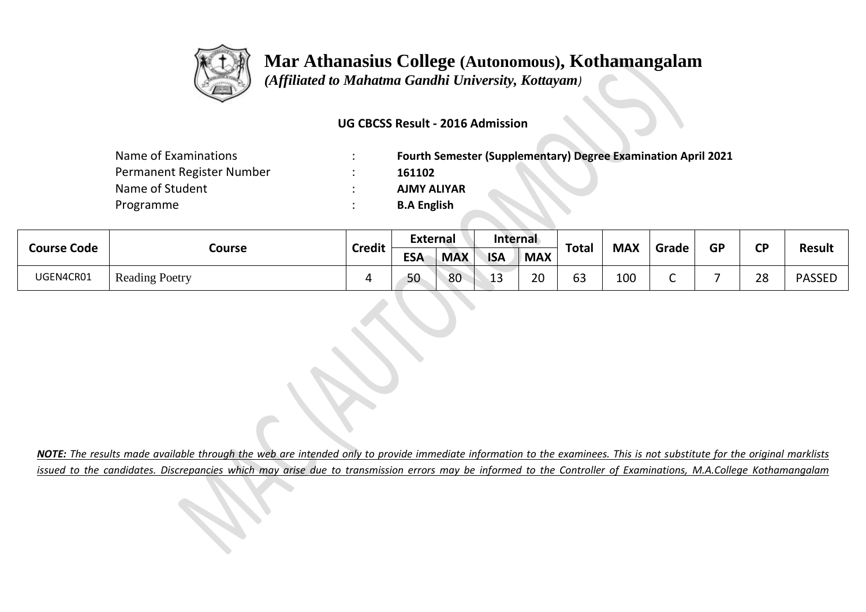

## **Mar Athanasius College (Autonomous), Kothamangalam**

 *(Affiliated to Mahatma Gandhi University, Kottayam)*

## **UG CBCSS Result - 2016 Admission**

| Name of Examinations      | <b>Fourth Semester (Supplementary) Degree Examination April 2021</b> |  |  |  |  |  |  |
|---------------------------|----------------------------------------------------------------------|--|--|--|--|--|--|
| Permanent Register Number | 161102                                                               |  |  |  |  |  |  |
| Name of Student           | <b>AJMY ALIYAR</b>                                                   |  |  |  |  |  |  |
| Programme                 | <b>B.A English</b>                                                   |  |  |  |  |  |  |

| <b>Course Code</b> | Course                | <b>Credit</b> | <b>External</b> |            | Internal   |                | <b>Total</b> | <b>MAX</b> |       | <b>GP</b> | СD |               |
|--------------------|-----------------------|---------------|-----------------|------------|------------|----------------|--------------|------------|-------|-----------|----|---------------|
|                    |                       |               | <b>ESA</b>      | <b>MAX</b> | <b>ISA</b> | <b>MAX</b>     |              |            | Grade |           |    | <b>Result</b> |
| UGEN4CR01          | <b>Reading Poetry</b> |               | 50              | 80         | . .<br>∸   | $\Omega$<br>zu | 63           | 100        |       |           | 28 | <b>PASSEL</b> |

*NOTE: The results made available through the web are intended only to provide immediate information to the examinees. This is not substitute for the original marklists issued to the candidates. Discrepancies which may arise due to transmission errors may be informed to the Controller of Examinations, M.A.College Kothamangalam*